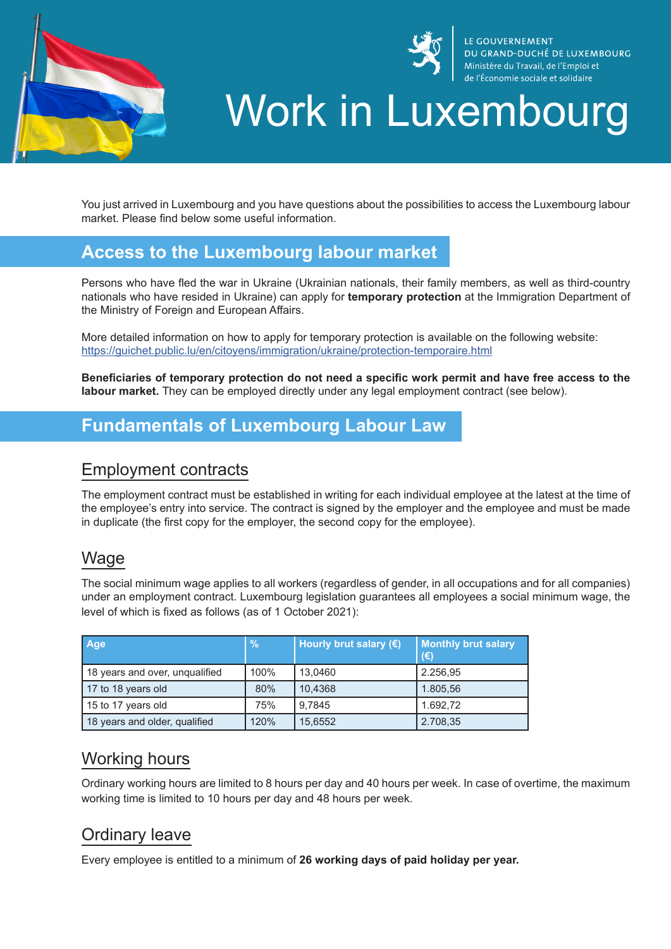



LE GOUVERNEMENT DU GRAND-DUCHÉ DE LUXEMBOURG Ministère du Travail, de l'Emploi et de l'Économie sociale et solidaire

# Work in Luxembourg

You just arrived in Luxembourg and you have questions about the possibilities to access the Luxembourg labour market. Please find below some useful information.

# **Access to the Luxembourg labour market**

Persons who have fled the war in Ukraine (Ukrainian nationals, their family members, as well as third-country nationals who have resided in Ukraine) can apply for **temporary protection** at the Immigration Department of the Ministry of Foreign and European Affairs.

More detailed information on how to apply for temporary protection is available on the following website: https://guichet.public.lu/en/citoyens/immigration/ukraine/protection-temporaire.html

**Beneficiaries of temporary protection do not need a specific work permit and have free access to the labour market.** They can be employed directly under any legal employment contract (see below).

# **Fundamentals of Luxembourg Labour Law**

#### Employment contracts

The employment contract must be established in writing for each individual employee at the latest at the time of the employee's entry into service. The contract is signed by the employer and the employee and must be made in duplicate (the first copy for the employer, the second copy for the employee).

#### Wage

The social minimum wage applies to all workers (regardless of gender, in all occupations and for all companies) under an employment contract. Luxembourg legislation guarantees all employees a social minimum wage, the level of which is fixed as follows (as of 1 October 2021):

| Age                            | $\frac{9}{6}$ | Hourly brut salary (€) | <b>Monthly brut salary</b><br>$(\epsilon)$ |
|--------------------------------|---------------|------------------------|--------------------------------------------|
| 18 years and over, unqualified | 100%          | 13.0460                | 2.256,95                                   |
| 17 to 18 years old             | 80%           | 10,4368                | 1.805,56                                   |
| 15 to 17 years old             | 75%           | 9.7845                 | 1.692.72                                   |
| 18 years and older, qualified  | 120%          | 15,6552                | 2.708,35                                   |

#### Working hours

Ordinary working hours are limited to 8 hours per day and 40 hours per week. In case of overtime, the maximum working time is limited to 10 hours per day and 48 hours per week.

# Ordinary leave

Every employee is entitled to a minimum of **26 working days of paid holiday per year.**